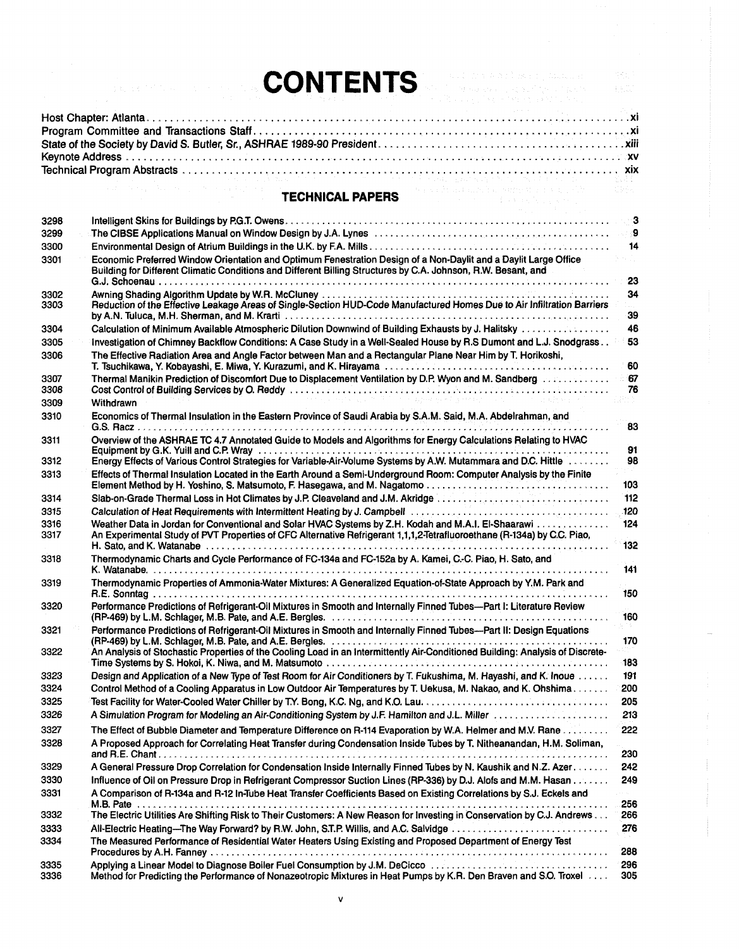## **CONTENTS**

 $\hat{\mathbf{E}}^{\text{max}}_{\text{max}}$ 

| 1999年,1999年,1999年,1999年,1999年,1999年,1999年,1999年,1999年,1999年,1999年,1999年,1999年,1999年,1999年,1999年,1999 |  |  |  |
|------------------------------------------------------------------------------------------------------|--|--|--|

## **TECHNICAL PAPERS**

|              | <b>TECHNICAL PAPERS</b><br>the company of the state of the company                                                                                                                                                                        | 1988년      |
|--------------|-------------------------------------------------------------------------------------------------------------------------------------------------------------------------------------------------------------------------------------------|------------|
| 3298         |                                                                                                                                                                                                                                           |            |
| 3299         | The CIBSE Applications Manual on Window Design by J.A. Lynes Network Conservation and CIBSE Applications Manual on Window Design by J.A. Lynes Network Conservation and Superior Section 1                                                |            |
| 3300         |                                                                                                                                                                                                                                           | 14         |
| 3301         | Economic Preferred Window Orientation and Optimum Fenestration Design of a Non-Daylit and a Daylit Large Office<br>Building for Different Climatic Conditions and Different Billing Structures by C.A. Johnson, R.W. Besant, and          | -23        |
| 3302         |                                                                                                                                                                                                                                           | 34         |
| 3303         | Reduction of the Effective Leakage Areas of Single-Section HUD-Code Manufactured Homes Due to Air Infiltration Barriers<br>by A.N. Tuluca, M.H. Sherman, and M. Krarti (1999) (1999) (1999) (1999) (1999) (1999) (1999) (1999) (1999) (19 | 39         |
| 3304         | Calculation of Minimum Available Atmospheric Dilution Downwind of Building Exhausts by J. Halitsky                                                                                                                                        | 46         |
| 3305         | Investigation of Chimney Backflow Conditions: A Case Study in a Well-Sealed House by R.S Dumont and L.J. Snodgrass                                                                                                                        | 53         |
| 3306         | The Effective Radiation Area and Angle Factor between Man and a Rectangular Plane Near Him by T. Horikoshi,                                                                                                                               | 60         |
| 3307         | Thermal Manikin Prediction of Discomfort Due to Displacement Ventilation by D.P. Wyon and M. Sandberg entertainment                                                                                                                       | - 67       |
| 3308         |                                                                                                                                                                                                                                           | 76         |
| 3309         | a para la la composición de la comparación de la composición de la composición de la composición de la composic<br><b>Withdrawn</b>                                                                                                       |            |
| 3310         | Economics of Thermal Insulation in the Eastern Province of Saudi Arabia by S.A.M. Said, M.A. Abdelrahman, and                                                                                                                             | 83         |
| 3311         | Overview of the ASHRAE TC 4.7 Annotated Guide to Models and Algorithms for Energy Calculations Relating to HVAC<br>Equipment by G.K. Yuill and C.P. Wray encourage contained as a series of the container of the container of the         | 91         |
| 3312         | Energy Effects of Various Control Strategies for Variable-Air-Volume Systems by A.W. Mutammara and D.C. Hittle                                                                                                                            | 98         |
| 3313         | Effects of Thermal Insulation Located in the Earth Around a Semi-Underground Room: Computer Analysis by the Finite                                                                                                                        | 103        |
| 3314         | Slab-on-Grade Thermal Loss in Hot Climates by J.P. Cleaveland and J.M. Akridge                                                                                                                                                            | 112        |
| 3315         |                                                                                                                                                                                                                                           |            |
| 3316<br>3317 | Weather Data in Jordan for Conventional and Solar HVAC Systems by Z.H. Kodah and M.A.I. El-Shaarawi<br>An Experimental Study of PVT Properties of CFC Alternative Refrigerant 1,1,1,2-Tetrafluoroethane (R-134a) by C.C. Piao,            | 124<br>132 |
| 3318         | Thermodynamic Charts and Cycle Performance of FC-134a and FC-152a by A. Kamei, C.-C. Piao, H. Sato, and                                                                                                                                   | 141        |
| 3319         | Thermodynamic Properties of Ammonia-Water Mixtures: A Generalized Equation-of-State Approach by Y.M. Park and                                                                                                                             | 150        |
| 3320         | Performance Predictions of Refrigerant-Oil Mixtures in Smooth and Internally Finned Tubes-Part I: Literature Review                                                                                                                       | 160        |
| 3321         | Performance Predictions of Refrigerant-Oil Mixtures in Smooth and Internally Finned Tubes-Part II: Design Equations                                                                                                                       | 170        |
| 3322         | An Analysis of Stochastic Properties of the Cooling Load in an Intermittently Air-Conditioned Building: Analysis of Discrete-                                                                                                             | 183        |
| 3323         | Design and Application of a New Type of Test Room for Air Conditioners by T. Fukushima, M. Hayashi, and K. Inoue                                                                                                                          | 191        |
| 3324         | Control Method of a Cooling Apparatus in Low Outdoor Air Temperatures by T. Uekusa, M. Nakao, and K. Ohshima                                                                                                                              | 200        |
| 3325         |                                                                                                                                                                                                                                           | 205        |
| 3326         | A Simulation Program for Modeling an Air-Conditioning System by J.F. Hamilton and J.L. Miller                                                                                                                                             | 213        |
| 3327         | The Effect of Bubble Diameter and Temperature Difference on R-114 Evaporation by W.A. Helmer and M.V. Rane                                                                                                                                | 222        |
| 3328         | A Proposed Approach for Correlating Heat Transfer during Condensation Inside Tubes by T. Nitheanandan, H.M. Soliman,                                                                                                                      | 230        |
| 3329         | A General Pressure Drop Correlation for Condensation Inside Internally Finned Tubes by N. Kaushik and N.Z. Azer                                                                                                                           | 242        |
| 3330         | Influence of Oil on Pressure Drop in Refrigerant Compressor Suction Lines (RP-336) by D.J. Alofs and M.M. Hasan                                                                                                                           | 249        |
| 3331         | A Comparison of R-134a and R-12 In-Tube Heat Transfer Coefficients Based on Existing Correlations by S.J. Eckels and                                                                                                                      | 256        |
| 3332         | The Electric Utilities Are Shifting Risk to Their Customers: A New Reason for Investing in Conservation by C.J. Andrews                                                                                                                   | 266        |
| 3333<br>3334 | All-Electric Heating-The Way Forward? by R.W. John, S.T.P. Willis, and A.C. Salvidge<br>The Measured Performance of Residential Water Heaters Using Existing and Proposed Department of Energy Test                                       | 276        |
|              |                                                                                                                                                                                                                                           | 288        |
| 3335<br>3336 | Applying a Linear Model to Diagnose Boiler Fuel Consumption by J.M. DeCicco<br>Method for Predicting the Performance of Nonazeotropic Mixtures in Heat Pumps by K.R. Den Braven and S.O. Troxel                                           | 296<br>305 |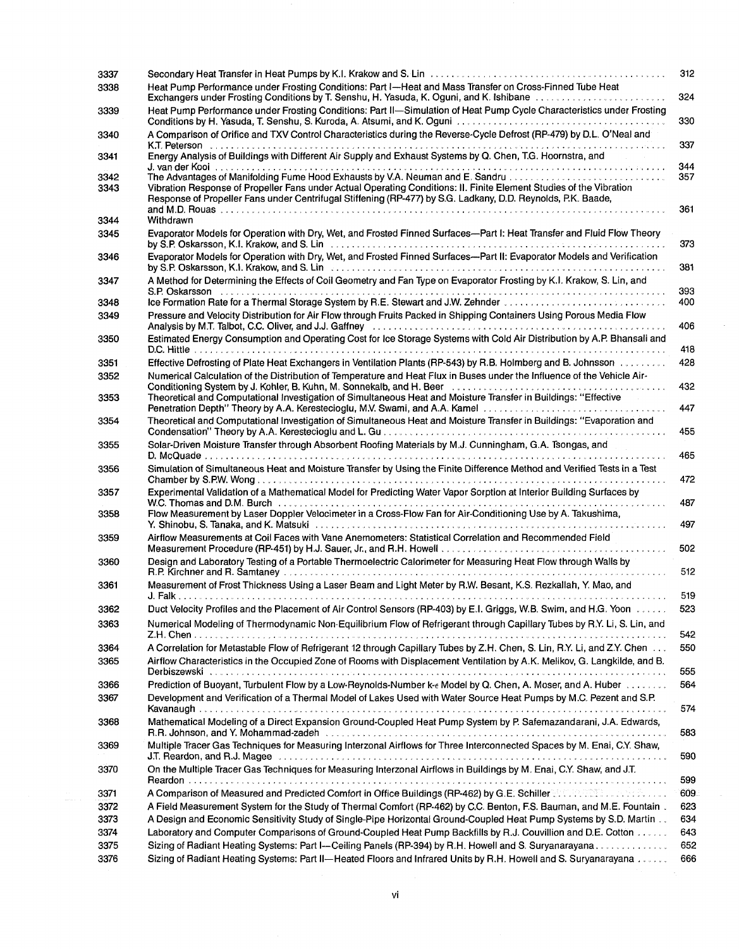| 3337<br>3338 | Heat Pump Performance under Frosting Conditions: Part I-Heat and Mass Transfer on Cross-Finned Tube Heat                                                                                                                                                                                                                                                 | 312        |
|--------------|----------------------------------------------------------------------------------------------------------------------------------------------------------------------------------------------------------------------------------------------------------------------------------------------------------------------------------------------------------|------------|
| 3339         | Exchangers under Frosting Conditions by T. Senshu, H. Yasuda, K. Oguni, and K. Ishibane [1] [1] Exchangers under Frosting Conditions by T. Senshu, H. Yasuda, K. Oguni, and K. Ishibane<br>Heat Pump Performance under Frosting Conditions: Part II-Simulation of Heat Pump Cycle Characteristics under Frosting                                         | 324        |
|              | A Comparison of Orifice and TXV Control Characteristics during the Reverse-Cycle Defrost (RP-479) by D.L. O'Neal and                                                                                                                                                                                                                                     | 330        |
| 3340         | Energy Analysis of Buildings with Different Air Supply and Exhaust Systems by Q. Chen, T.G. Hoornstra, and                                                                                                                                                                                                                                               | 337        |
| 3341         |                                                                                                                                                                                                                                                                                                                                                          | 344        |
| 3342<br>3343 | Vibration Response of Propeller Fans under Actual Operating Conditions: II. Finite Element Studies of the Vibration<br>Response of Propeller Fans under Centrifugal Stiffening (RP-477) by S.G. Ladkany, D.D. Reynolds, P.K. Baade,                                                                                                                      | 357<br>361 |
| 3344         | Withdrawn                                                                                                                                                                                                                                                                                                                                                |            |
| 3345         | Evaporator Models for Operation with Dry, Wet, and Frosted Finned Surfaces-Part I: Heat Transfer and Fluid Flow Theory<br>by S.P. Oskarsson, K.I. Krakow, and S. Line and serve and contained account of the server of the server of the                                                                                                                 | 373        |
| 3346         | Evaporator Models for Operation with Dry, Wet, and Frosted Finned Surfaces-Part II: Evaporator Models and Verification<br>by S.P. Oskarsson, K.I. Krakow, and S. Linteration and contain an account of the state of the state of the state of the state of the state of the state of the state of the state of the state of the state of the state of th | 381        |
| 3347         | A Method for Determining the Effects of Coil Geometry and Fan Type on Evaporator Frosting by K.I. Krakow, S. Lin, and                                                                                                                                                                                                                                    | 393        |
| 3348         |                                                                                                                                                                                                                                                                                                                                                          | 400        |
| 3349         | Pressure and Velocity Distribution for Air Flow through Fruits Packed in Shipping Containers Using Porous Media Flow                                                                                                                                                                                                                                     | 406        |
| 3350         | Estimated Energy Consumption and Operating Cost for Ice Storage Systems with Cold Air Distribution by A.P. Bhansali and                                                                                                                                                                                                                                  | 418        |
| 3351         | Effective Defrosting of Plate Heat Exchangers in Ventilation Plants (RP-543) by R.B. Holmberg and B. Johnsson                                                                                                                                                                                                                                            | 428        |
| 3352         | Numerical Calculation of the Distribution of Temperature and Heat Flux in Buses under the Influence of the Vehicle Air-                                                                                                                                                                                                                                  | 432        |
| 3353         | Theoretical and Computational Investigation of Simultaneous Heat and Moisture Transfer in Buildings: "Effective<br>Penetration Depth" Theory by A.A. Kerestecioglu, M.V. Swami, and A.A. Kamel                                                                                                                                                           | 447        |
| 3354         | Theoretical and Computational Investigation of Simultaneous Heat and Moisture Transfer in Buildings: "Evaporation and                                                                                                                                                                                                                                    | 455        |
| 3355         | Solar-Driven Moisture Transfer through Absorbent Roofing Materials by M.J. Cunningham, G.A. Tsongas, and                                                                                                                                                                                                                                                 | 465        |
| 3356         | Simulation of Simultaneous Heat and Moisture Transfer by Using the Finite Difference Method and Verified Tests in a Test                                                                                                                                                                                                                                 | 472        |
| 3357         | Experimental Validation of a Mathematical Model for Predicting Water Vapor Sorption at Interior Building Surfaces by<br>W.C. Thomas and D.M. Burch et al., et al., et al., et al., et al., et al., et al., et al., et al., et al., et                                                                                                                    | 487        |
| 3358         | Flow Measurement by Laser Doppler Velocimeter in a Cross-Flow Fan for Air-Conditioning Use by A. Takushima,                                                                                                                                                                                                                                              | 497        |
| 3359         | Airflow Measurements at Coil Faces with Vane Anemometers: Statistical Correlation and Recommended Field                                                                                                                                                                                                                                                  | 502        |
| 3360         | Design and Laboratory Testing of a Portable Thermoelectric Calorimeter for Measuring Heat Flow through Walls by<br>.                                                                                                                                                                                                                                     | 512        |
| 3361         | Measurement of Frost Thickness Using a Laser Beam and Light Meter by R.W. Besant, K.S. Rezkallah, Y. Mao, and                                                                                                                                                                                                                                            | 519        |
| 3362         | Duct Velocity Profiles and the Placement of Air Control Sensors (RP-403) by E.I. Griggs, W.B. Swim, and H.G. Yoon                                                                                                                                                                                                                                        | 523        |
| 3363         | Numerical Modeling of Thermodynamic Non-Equilibrium Flow of Refrigerant through Capillary Tubes by R.Y. Li, S. Lin, and                                                                                                                                                                                                                                  | 542        |
| 3364         | A Correlation for Metastable Flow of Refrigerant 12 through Capillary Tubes by Z.H. Chen, S. Lin, R.Y. Li, and Z.Y. Chen                                                                                                                                                                                                                                 | 550        |
| 3365         | Airflow Characteristics in the Occupied Zone of Rooms with Displacement Ventilation by A.K. Melikov, G. Langkilde, and B.                                                                                                                                                                                                                                | 555        |
|              | Prediction of Buoyant, Turbulent Flow by a Low-Reynolds-Number k-e Model by Q. Chen, A. Moser, and A. Huber                                                                                                                                                                                                                                              | 564        |
| 3366<br>3367 | Development and Verification of a Thermal Model of Lakes Used with Water Source Heat Pumps by M.C. Pezent and S.P.                                                                                                                                                                                                                                       |            |
| 3368         | Mathematical Modeling of a Direct Expansion Ground-Coupled Heat Pump System by P. Safemazandarani, J.A. Edwards,                                                                                                                                                                                                                                         | 574        |
| 3369         | R.R. Johnson, and Y. Mohammad-zadeh experiences and conservative contracts and an architecture conservative co<br>Multiple Tracer Gas Techniques for Measuring Interzonal Airflows for Three Interconnected Spaces by M. Enai, C.Y. Shaw,                                                                                                                | 583        |
| 3370         | On the Multiple Tracer Gas Techniques for Measuring Interzonal Airflows in Buildings by M. Enai, C.Y. Shaw, and J.T.                                                                                                                                                                                                                                     | 590        |
|              |                                                                                                                                                                                                                                                                                                                                                          | 599        |
| 3371         | A Comparison of Measured and Predicted Comfort in Office Buildings (RP-462) by G.E. Schiller Comparison of Measured and Predicted Comfort in Office Buildings (RP-462) by G.E. Schiller Comparison of Measured                                                                                                                                           | 609        |
| 3372         | A Field Measurement System for the Study of Thermal Comfort (RP-462) by C.C. Benton, F.S. Bauman, and M.E. Fountain.                                                                                                                                                                                                                                     | 623        |
|              | A Design and Economic Sensitivity Study of Single-Pipe Horizontal Ground-Coupled Heat Pump Systems by S.D. Martin                                                                                                                                                                                                                                        | 634        |
| 3373         | Laboratory and Computer Comparisons of Ground-Coupled Heat Pump Backfills by R.J. Couvillion and D.E. Cotton                                                                                                                                                                                                                                             | 643        |
|              |                                                                                                                                                                                                                                                                                                                                                          |            |
| 3374<br>3375 | Sizing of Radiant Heating Systems: Part I--Ceiling Panels (RP-394) by R.H. Howell and S. Suryanarayana<br>Sizing of Radiant Heating Systems: Part II-Heated Floors and Infrared Units by R.H. Howell and S. Suryanarayana                                                                                                                                | 652        |

 $\label{eq:2} \frac{1}{\sqrt{2}}\sum_{i=1}^n\frac{1}{\sqrt{2}}\sum_{j=1}^n\frac{1}{j!}\sum_{j=1}^n\frac{1}{j!}\sum_{j=1}^n\frac{1}{j!}\sum_{j=1}^n\frac{1}{j!}\sum_{j=1}^n\frac{1}{j!}\sum_{j=1}^n\frac{1}{j!}\sum_{j=1}^n\frac{1}{j!}\sum_{j=1}^n\frac{1}{j!}\sum_{j=1}^n\frac{1}{j!}\sum_{j=1}^n\frac{1}{j!}\sum_{j=1}^n\frac{1}{j!}\sum_{j=1}^$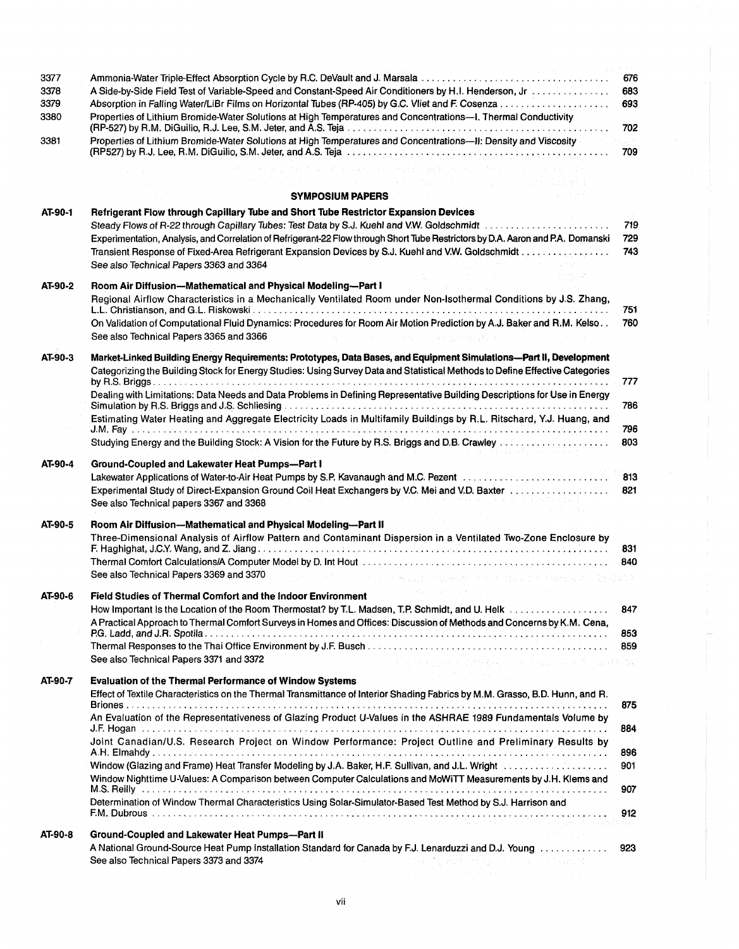| 3377<br>3378<br>3379<br>3380 | Ammonia-Water Triple-Effect Absorption Cycle by R.C. DeVault and J. Marsala<br>A Side-by-Side Field Test of Variable-Speed and Constant-Speed Air Conditioners by H.I. Henderson, Jr.<br>Properties of Lithium Bromide-Water Solutions at High Temperatures and Concentrations---I. Thermal Conductivity                                                                                                                                                              | 676<br>683<br>693<br>702 |
|------------------------------|-----------------------------------------------------------------------------------------------------------------------------------------------------------------------------------------------------------------------------------------------------------------------------------------------------------------------------------------------------------------------------------------------------------------------------------------------------------------------|--------------------------|
| 3381                         | Properties of Lithium Bromide-Water Solutions at High Temperatures and Concentrations--- II: Density and Viscosity                                                                                                                                                                                                                                                                                                                                                    | 709                      |
|                              | The completed three of the process of the fact deed, the bulk of the children in the control<br>→ pp. 1000 × 1000 → 1000 × 1000 → 2000 → 2000 →                                                                                                                                                                                                                                                                                                                       |                          |
|                              | <b>SYMPOSIUM PAPERS</b>                                                                                                                                                                                                                                                                                                                                                                                                                                               |                          |
| AT-90-1                      | Refrigerant Flow through Capillary Tube and Short Tube Restrictor Expansion Devices<br>Steady Flows of R-22 through Capillary Tubes: Test Data by S.J. Kuehl and V.W. Goldschmidt<br>Experimentation, Analysis, and Correlation of Refrigerant-22 Flow through Short Tube Restrictors by D.A. Aaron and P.A. Domanski<br>Transient Response of Fixed-Area Refrigerant Expansion Devices by S.J. Kuehl and V.W. Goldschmidt<br>See also Technical Papers 3363 and 3364 | 719<br>729<br>743        |
| AT-90-2                      | Room Air Diffusion-Mathematical and Physical Modeling-Part I<br>Regional Airflow Characteristics in a Mechanically Ventilated Room under Non-Isothermal Conditions by J.S. Zhang,<br>On Validation of Computational Fluid Dynamics: Procedures for Room Air Motion Prediction by A.J. Baker and R.M. Kelso<br>See also Technical Papers 3365 and 3366<br>and the contract of the contract of the                                                                      | 751<br>760               |
| AT-90-3                      | Market-Linked Building Energy Requirements: Prototypes, Data Bases, and Equipment Simulations-Part II, Development<br>Categorizing the Building Stock for Energy Studies: Using Survey Data and Statistical Methods to Define Effective Categories                                                                                                                                                                                                                    | 777                      |
|                              | Dealing with Limitations: Data Needs and Data Problems in Defining Representative Building Descriptions for Use in Energy<br>Estimating Water Heating and Aggregate Electricity Loads in Multifamily Buildings by R.L. Ritschard, Y.J. Huang, and                                                                                                                                                                                                                     | 786                      |
|                              | the contract of the contract of the contract of                                                                                                                                                                                                                                                                                                                                                                                                                       | 796<br>803               |
| AT-90-4                      | Ground-Coupled and Lakewater Heat Pumps--Part I<br>Lakewater Applications of Water-to-Air Heat Pumps by S.P. Kavanaugh and M.C. Pezent manufacture and containing<br>See also Technical papers 3367 and 3368                                                                                                                                                                                                                                                          | 813<br>821               |
| AT-90-5                      | Room Air Diffusion-Mathematical and Physical Modeling-Part II<br>Three-Dimensional Analysis of Airflow Pattern and Contaminant Dispersion in a Ventilated Two-Zone Enclosure by<br>See also Technical Papers 3369 and 3370                                                                                                                                                                                                                                            | 831<br>840               |
| AT-90-6                      | Field Studies of Thermal Comfort and the Indoor Environment                                                                                                                                                                                                                                                                                                                                                                                                           |                          |
|                              | How Important Is the Location of the Room Thermostat? by T.L. Madsen, T.P. Schmidt, and U. Helk<br>A Practical Approach to Thermal Comfort Surveys in Homes and Offices: Discussion of Methods and Concerns by K.M. Cena,                                                                                                                                                                                                                                             | 847<br>853               |
|                              | See also Technical Papers 3371 and 3372<br>· 2010年4月4日 NR fight Support Section 2014年4月4日 Section 2014年4月4日                                                                                                                                                                                                                                                                                                                                                           | 859                      |
| AT-90-7                      | <b>CONTRACTOR</b> CONTRACTOR<br><b>Evaluation of the Thermal Performance of Window Systems</b><br>Effect of Textile Characteristics on the Thermal Transmittance of Interior Shading Fabrics by M.M. Grasso, B.D. Hunn, and R.                                                                                                                                                                                                                                        | 875                      |
|                              | An Evaluation of the Representativeness of Glazing Product U-Values in the ASHRAE 1989 Fundamentals Volume by                                                                                                                                                                                                                                                                                                                                                         | 884                      |
|                              | Joint Canadian/U.S. Research Project on Window Performance: Project Outline and Preliminary Results by                                                                                                                                                                                                                                                                                                                                                                | 896                      |
|                              | Window Nighttime U-Values: A Comparison between Computer Calculations and MoWiTT Measurements by J.H. Klems and                                                                                                                                                                                                                                                                                                                                                       | 901                      |
|                              | Determination of Window Thermal Characteristics Using Solar-Simulator-Based Test Method by S.J. Harrison and                                                                                                                                                                                                                                                                                                                                                          | 907<br>912               |
| AT-90-8                      | MAD HALL EN DE ANGELIK (1989)<br>Ground-Coupled and Lakewater Heat Pumps-Part II                                                                                                                                                                                                                                                                                                                                                                                      |                          |
|                              | A National Ground-Source Heat Pump Installation Standard for Canada by F.J. Lenarduzzi and D.J. Young<br>The control of product the special stress and control of<br>See also Technical Papers 3373 and 3374                                                                                                                                                                                                                                                          | 923                      |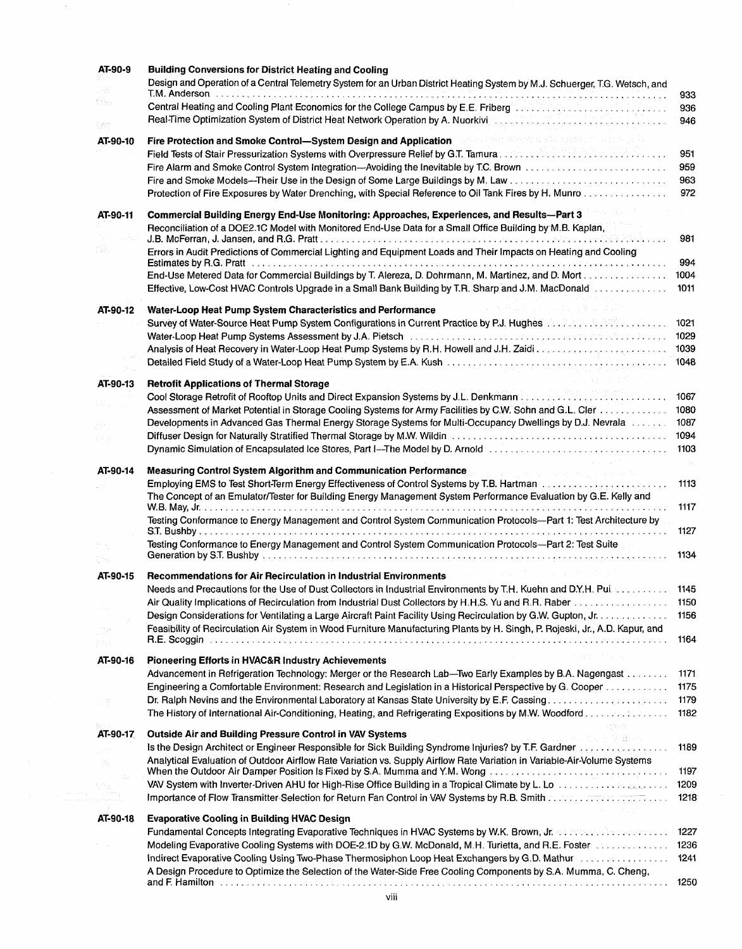| AT-90-9         | <b>Building Conversions for District Heating and Cooling</b><br>Design and Operation of a Central Telemetry System for an Urban District Heating System by M.J. Schuerger, T.G. Wetsch, and                                                                                                                                                                  |                         |
|-----------------|--------------------------------------------------------------------------------------------------------------------------------------------------------------------------------------------------------------------------------------------------------------------------------------------------------------------------------------------------------------|-------------------------|
| Pin.            | T.M. Anderson basadische erster der der der der erster der der der der der der den gebenstellen der der der de                                                                                                                                                                                                                                               | 933                     |
| 음악:             | Central Heating and Cooling Plant Economics for the College Campus by E.E. Friberg Manuscript Manuscript Manuscript<br>Real-Time Optimization System of District Heat Network Operation by A. Nuorkiving and the anti-actional contract the contract of the state of the state of the state of the state of the state of the state of the state of th        | 936<br>946              |
| 967<br>AT-90-10 | Fire Protection and Smoke Control—System Design and Application and Control of the Second Control of the party<br>Field Tests of Stair Pressurization Systems with Overpressure Relief by G.T. Tamura Pressure Manus Manus Manus                                                                                                                             | 951                     |
|                 | Protection of Fire Exposures by Water Drenching, with Special Reference to Oil Tank Fires by H. Munro                                                                                                                                                                                                                                                        | 959<br>963<br>972       |
| AT-90-11        | Commercial Building Energy End-Use Monitoring: Approaches, Experiences, and Results-Part 3<br>Reconciliation of a DOE2.1C Model with Monitored End-Use Data for a Small Office Building by M.B. Kaplan,                                                                                                                                                      | 981                     |
| i 47.           | Errors in Audit Predictions of Commercial Lighting and Equipment Loads and Their Impacts on Heating and Cooling<br><b>Estimates by R.G. Pratt</b> experiences in the contract of the contract of the contract of the <b>Contract of the contract of the contract of the contract of the contract of the contract of the contract of the contract of the </b> | 994                     |
|                 | End-Use Metered Data for Commercial Buildings by T. Alereza, D. Dohrmann, M. Martinez, and D. Mort<br>Effective, Low-Cost HVAC Controls Upgrade in a Small Bank Building by T.R. Sharp and J.M. MacDonald                                                                                                                                                    | 1004<br>1011            |
| AT-90-12        | Water-Loop Heat Pump System Characteristics and Performance<br>Survey of Water-Source Heat Pump System Configurations in Current Practice by P.J. Hughes Alle Merchanter Mater                                                                                                                                                                               | 1021                    |
|                 | Water-Loop Heat Pump Systems Assessment by J.A. Pietsch <b>Material Construction Construction Properties</b> Construction                                                                                                                                                                                                                                    | 1029<br>1039            |
|                 |                                                                                                                                                                                                                                                                                                                                                              | 1048                    |
| AT-90-13        | <b>Retrofit Applications of Thermal Storage</b>                                                                                                                                                                                                                                                                                                              |                         |
|                 | Assessment of Market Potential in Storage Cooling Systems for Army Facilities by C.W. Sohn and G.L. Cler<br>Developments in Advanced Gas Thermal Energy Storage Systems for Multi-Occupancy Dwellings by D.J. Nevrala                                                                                                                                        | 1067<br>1080<br>1087    |
| 47.75           | Dynamic Simulation of Encapsulated Ice Stores, Part I—The Model by D. Arnold                                                                                                                                                                                                                                                                                 | 1094<br>1103            |
| AT-90-14        | Measuring Control System Algorithm and Communication Performance                                                                                                                                                                                                                                                                                             | $\mathcal{L}^{(1)}$ and |
|                 | Employing EMS to Test Short-Term Energy Effectiveness of Control Systems by T.B. Hartman December 2014 and Control Control of the Employing EMS to Test and Terminal Burgers and Test and Test and Test and Test and Test and<br>The Concept of an Emulator/Tester for Building Energy Management System Performance Evaluation by G.E. Kelly and            | 1113<br>1117            |
|                 | Testing Conformance to Energy Management and Control System Communication Protocols-Part 1: Test Architecture by                                                                                                                                                                                                                                             | 1127                    |
| Q Bal           | Testing Conformance to Energy Management and Control System Communication Protocols-Part 2: Test Suite<br>. <i>. .</i> .                                                                                                                                                                                                                                     | 1134                    |
| AT-90-15        | Recommendations for Air Recirculation in Industrial Environments                                                                                                                                                                                                                                                                                             |                         |
|                 | Needs and Precautions for the Use of Dust Collectors in Industrial Environments by T.H. Kuehn and D.Y.H. Puiss consumed<br>Air Quality Implications of Recirculation from Industrial Dust Collectors by H.H.S. Yu and R.R. Raber                                                                                                                             | 1145<br>1150            |
|                 | Design Considerations for Ventilating a Large Aircraft Paint Facility Using Recirculation by G.W. Gupton, Jr. June 2008.                                                                                                                                                                                                                                     | 1156                    |
|                 | Feasibility of Recirculation Air System in Wood Furniture Manufacturing Plants by H. Singh, P. Rojeski, Jr., A.D. Kapur, and                                                                                                                                                                                                                                 | 1164                    |
| AT-90-16        | <b>Pioneering Efforts in HVAC&amp;R Industry Achievements</b>                                                                                                                                                                                                                                                                                                |                         |
|                 | Advancement in Refrigeration Technology: Merger or the Research Lab-Two Early Examples by B.A. Nagengast                                                                                                                                                                                                                                                     | 1171                    |
|                 | Engineering a Comfortable Environment: Research and Legislation in a Historical Perspective by G. Cooper                                                                                                                                                                                                                                                     | 1175<br>1179            |
|                 | The History of International Air-Conditioning, Heating, and Refrigerating Expositions by M.W. Woodford                                                                                                                                                                                                                                                       | 1182                    |
| AT-90-17        | <b>Outside Air and Building Pressure Control in VAV Systems</b><br>11 年 西亚语 法语言<br>Is the Design Architect or Engineer Responsible for Sick Building Syndrome Injuries? by T.F. Gardner                                                                                                                                                                      | 1189                    |
| 9b.             | Analytical Evaluation of Outdoor Airflow Rate Variation vs. Supply Airflow Rate Variation in Variable-Air-Volume Systems<br>When the Outdoor Air Damper Position Is Fixed by S.A. Mumma and Y.M. Wong                                                                                                                                                        | 1197                    |
|                 | VAV System with Inverter-Driven AHU for High-Rise Office Building in a Tropical Climate by L. Lote Community Community<br>Importance of Flow Transmitter-Selection for Return Fan Control in VAV Systems by R.B. Smith and account of Flow Transmitter-Selection for Return Fan Control in VAV Systems by R.B. Smith and account of the U.S.                 | 1209<br>1218            |
| AT-90-18        | <b>Evaporative Cooling in Building HVAC Design</b>                                                                                                                                                                                                                                                                                                           |                         |
|                 | <b>Fundamental Concepts Integrating Evaporative Techniques in HVAC Systems by W.K. Brown, Jr. Concepts Integration Inc.</b>                                                                                                                                                                                                                                  | 1227                    |
|                 | Modeling Evaporative Cooling Systems with DOE-2.1D by G.W. McDonald, M.H. Turietta, and R.E. Foster et also contained to<br>Indirect Evaporative Cooling Using Two-Phase Thermosiphon Loop Heat Exchangers by G.D. Mathur exact sections of                                                                                                                  | 1236<br>1241            |
|                 | A Design Procedure to Optimize the Selection of the Water-Side Free Cooling Components by S.A. Mumma, C. Cheng,                                                                                                                                                                                                                                              | 1250                    |

 $\overline{\phantom{a}}$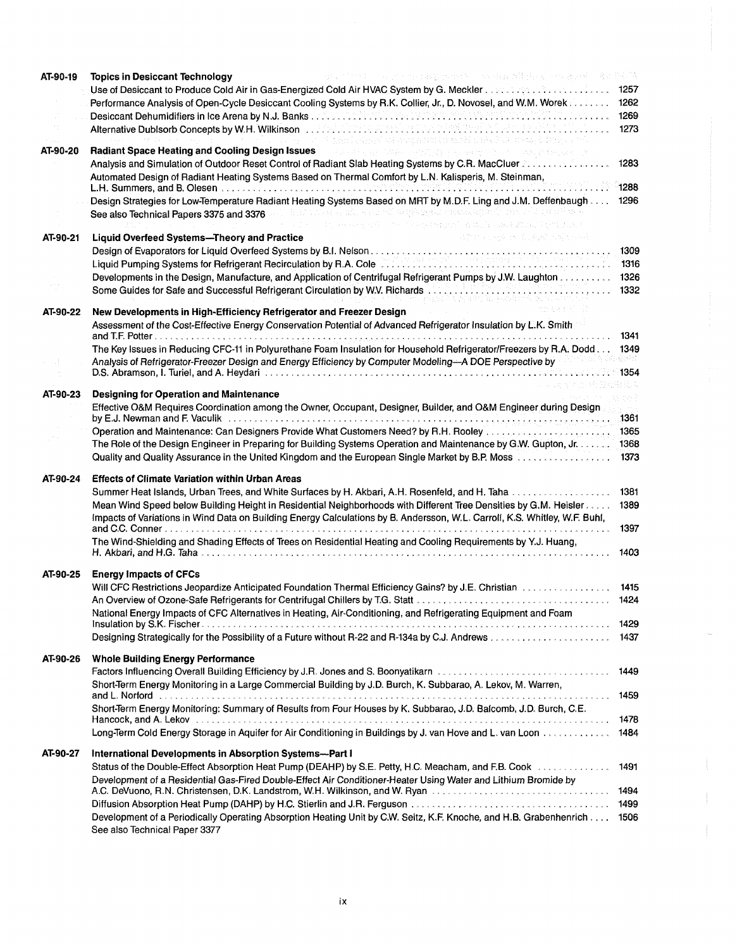| AT-90-19 | "什么?""这是什么什么?我还是什么大多?"这样的理解,直接是很多,但是他的女子,突出 最新原则<br><b>Topics in Desiccant Technology</b>                                                                                                                                      |                  |
|----------|--------------------------------------------------------------------------------------------------------------------------------------------------------------------------------------------------------------------------------|------------------|
|          |                                                                                                                                                                                                                                | 1257             |
|          | Performance Analysis of Open-Cycle Desiccant Cooling Systems by R.K. Collier, Jr., D. Novosel, and W.M. Worek                                                                                                                  | 1262             |
|          |                                                                                                                                                                                                                                | 1269             |
|          | Alternative Dublsorb Concepts by W.H. Wilkinson 1. 2008. In the secrets of the presence of the state of the concepts of<br>pan i cancel un sounant ist mobile skellet strangel forege at                                       | 1273             |
| AT-90-20 | <b>Radiant Space Heating and Cooling Design Issues</b><br>a para tanàna ao amin'ny faritr'i Normandie, ao amin'ny faritr'i Normandie, ao Frantsa. Ny kaodim-paositra 201                                                       |                  |
|          | Analysis and Simulation of Outdoor Reset Control of Radiant Slab Heating Systems by C.R. MacCluer 2.                                                                                                                           | 1283             |
|          | Automated Design of Radiant Heating Systems Based on Thermal Comfort by L.N. Kalisperis, M. Steinman,                                                                                                                          |                  |
|          | Design Strategies for Low-Temperature Radiant Heating Systems Based on MRT by M.D.F. Ling and J.M. Deffenbaugh                                                                                                                 | 1288             |
|          | See also Technical Papers 3375 and 3376 and all the second converting the presentation of the second properties in                                                                                                             | 1296             |
|          | The concept of the property of the problems of the Content of the Section of the Section of the Section of the Section of the Section of the Section of the Section of the Section of the Section of the Section of the Sectio |                  |
| AT-90-21 | 网络罗马马森 计定位 经税 网络经济科<br><b>Liquid Overfeed Systems-Theory and Practice</b>                                                                                                                                                      |                  |
|          |                                                                                                                                                                                                                                | 1309             |
|          |                                                                                                                                                                                                                                | 1316             |
|          | Developments in the Design, Manufacture, and Application of Centrifugal Refrigerant Pumps by J.W. Laughton 1326                                                                                                                |                  |
|          | Some Guides for Safe and Successful Refrigerant Circulation by W.V. Richards                                                                                                                                                   | 1332             |
| AT-90-22 | New Developments in High-Efficiency Refrigerator and Freezer Design                                                                                                                                                            |                  |
|          | Assessment of the Cost-Effective Energy Conservation Potential of Advanced Refrigerator Insulation by L.K. Smith                                                                                                               |                  |
|          |                                                                                                                                                                                                                                | 1341             |
|          | The Key Issues in Reducing CFC-11 in Polyurethane Foam Insulation for Household Refrigerator/Freezers by R.A. Dodd<br>Analysis of Refrigerator-Freezer Design and Energy Efficiency by Computer Modeling-A DOE Perspective by  | 1349<br>45-52881 |
|          |                                                                                                                                                                                                                                | 1354             |
|          |                                                                                                                                                                                                                                |                  |
| AT-90-23 | <b>Designing for Operation and Maintenance</b>                                                                                                                                                                                 |                  |
|          | Effective O&M Requires Coordination among the Owner, Occupant, Designer, Builder, and O&M Engineer during Design                                                                                                               | na ann a         |
|          |                                                                                                                                                                                                                                |                  |
|          | The Role of the Design Engineer in Preparing for Building Systems Operation and Maintenance by G.W. Gupton, Jr. 1368                                                                                                           |                  |
|          | Quality and Quality Assurance in the United Kingdom and the European Single Market by B.P. Moss                                                                                                                                | 1373             |
| AT-90-24 | <b>Effects of Climate Variation within Urban Areas</b>                                                                                                                                                                         |                  |
|          | Summer Heat Islands, Urban Trees, and White Surfaces by H. Akbari, A.H. Rosenfeld, and H. Taha 1381                                                                                                                            |                  |
|          | Mean Wind Speed below Building Height in Residential Neighborhoods with Different Tree Densities by G.M. Heisler                                                                                                               | 1389             |
|          | Impacts of Variations in Wind Data on Building Energy Calculations by B. Andersson, W.L. Carroll, K.S. Whitley, W.F. Buhl,                                                                                                     |                  |
|          |                                                                                                                                                                                                                                | 1397             |
|          | The Wind-Shielding and Shading Effects of Trees on Residential Heating and Cooling Requirements by Y.J. Huang,                                                                                                                 |                  |
|          |                                                                                                                                                                                                                                | 1403             |
| AT-90-25 | <b>Energy Impacts of CFCs</b>                                                                                                                                                                                                  |                  |
|          | Will CFC Restrictions Jeopardize Anticipated Foundation Thermal Efficiency Gains? by J.E. Christian [10] William [10] William [10] William [10] William [10] William [10] William [10] William [10] William [10] William [10]  | 1415             |
|          |                                                                                                                                                                                                                                | 1424             |
|          | National Energy Impacts of CFC Alternatives in Heating, Air-Conditioning, and Refrigerating Equipment and Foam                                                                                                                 |                  |
|          |                                                                                                                                                                                                                                |                  |
|          |                                                                                                                                                                                                                                | 1437             |
|          |                                                                                                                                                                                                                                |                  |
| AT-90-26 | <b>Whole Building Energy Performance</b>                                                                                                                                                                                       |                  |
|          |                                                                                                                                                                                                                                | 1449             |
|          | Short-Term Energy Monitoring in a Large Commercial Building by J.D. Burch, K. Subbarao, A. Lekov, M. Warren,                                                                                                                   |                  |
|          | Short-Term Energy Monitoring: Summary of Results from Four Houses by K. Subbarao, J.D. Balcomb, J.D. Burch, C.E.                                                                                                               | 1459             |
|          |                                                                                                                                                                                                                                |                  |
|          | Long-Term Cold Energy Storage in Aquifer for Air Conditioning in Buildings by J. van Hove and L. van Loon 1484                                                                                                                 |                  |
|          |                                                                                                                                                                                                                                |                  |
| AT-90-27 | International Developments in Absorption Systems--Part I                                                                                                                                                                       |                  |
|          | Status of the Double-Effect Absorption Heat Pump (DEAHP) by S.E. Petty, H.C. Meacham, and F.B. Cook entertainment                                                                                                              | 1491             |
|          | Development of a Residential Gas-Fired Double-Effect Air Conditioner-Heater Using Water and Lithium Bromide by                                                                                                                 |                  |
|          |                                                                                                                                                                                                                                |                  |
|          |                                                                                                                                                                                                                                |                  |
|          | Development of a Periodically Operating Absorption Heating Unit by C.W. Seitz, K.F. Knoche, and H.B. Grabenhenrich 1506                                                                                                        |                  |
|          | See also Technical Paper 3377                                                                                                                                                                                                  |                  |